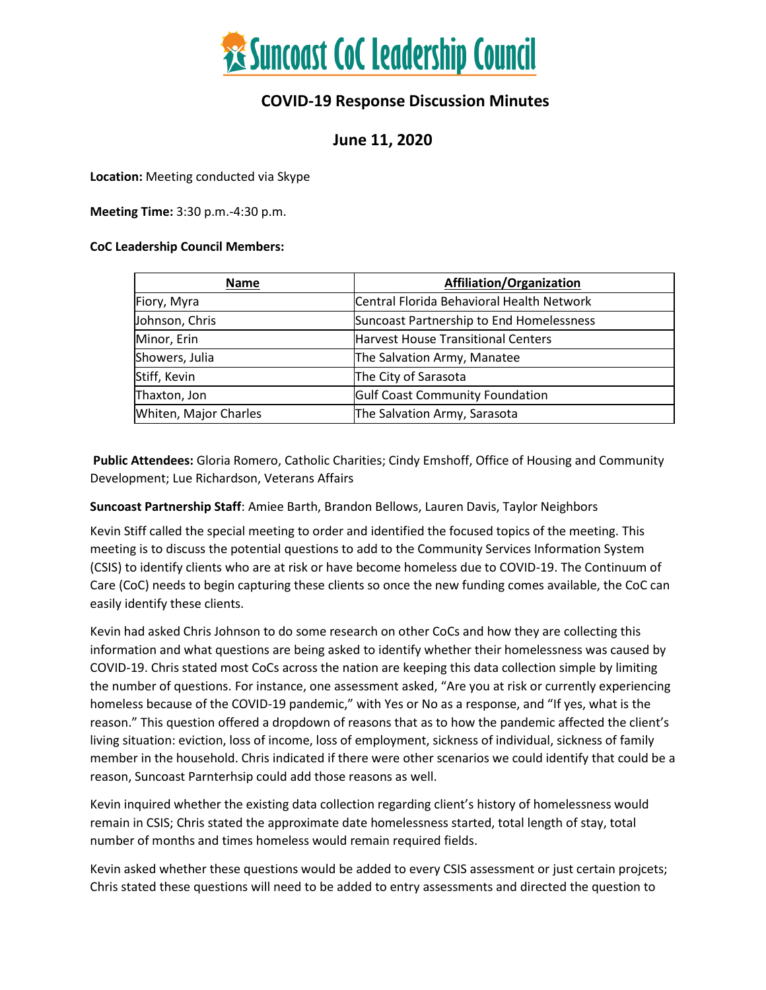

### **COVID-19 Response Discussion Minutes**

### **June 11, 2020**

**Location:** Meeting conducted via Skype

**Meeting Time:** 3:30 p.m.-4:30 p.m.

#### **CoC Leadership Council Members:**

| <b>Name</b>           | Affiliation/Organization                  |
|-----------------------|-------------------------------------------|
| Fiory, Myra           | Central Florida Behavioral Health Network |
| Johnson, Chris        | Suncoast Partnership to End Homelessness  |
| Minor, Erin           | <b>Harvest House Transitional Centers</b> |
| Showers, Julia        | The Salvation Army, Manatee               |
| Stiff, Kevin          | The City of Sarasota                      |
| Thaxton, Jon          | <b>Gulf Coast Community Foundation</b>    |
| Whiten, Major Charles | The Salvation Army, Sarasota              |

**Public Attendees:** Gloria Romero, Catholic Charities; Cindy Emshoff, Office of Housing and Community Development; Lue Richardson, Veterans Affairs

**Suncoast Partnership Staff**: Amiee Barth, Brandon Bellows, Lauren Davis, Taylor Neighbors

Kevin Stiff called the special meeting to order and identified the focused topics of the meeting. This meeting is to discuss the potential questions to add to the Community Services Information System (CSIS) to identify clients who are at risk or have become homeless due to COVID-19. The Continuum of Care (CoC) needs to begin capturing these clients so once the new funding comes available, the CoC can easily identify these clients.

Kevin had asked Chris Johnson to do some research on other CoCs and how they are collecting this information and what questions are being asked to identify whether their homelessness was caused by COVID-19. Chris stated most CoCs across the nation are keeping this data collection simple by limiting the number of questions. For instance, one assessment asked, "Are you at risk or currently experiencing homeless because of the COVID-19 pandemic," with Yes or No as a response, and "If yes, what is the reason." This question offered a dropdown of reasons that as to how the pandemic affected the client's living situation: eviction, loss of income, loss of employment, sickness of individual, sickness of family member in the household. Chris indicated if there were other scenarios we could identify that could be a reason, Suncoast Parnterhsip could add those reasons as well.

Kevin inquired whether the existing data collection regarding client's history of homelessness would remain in CSIS; Chris stated the approximate date homelessness started, total length of stay, total number of months and times homeless would remain required fields.

Kevin asked whether these questions would be added to every CSIS assessment or just certain projcets; Chris stated these questions will need to be added to entry assessments and directed the question to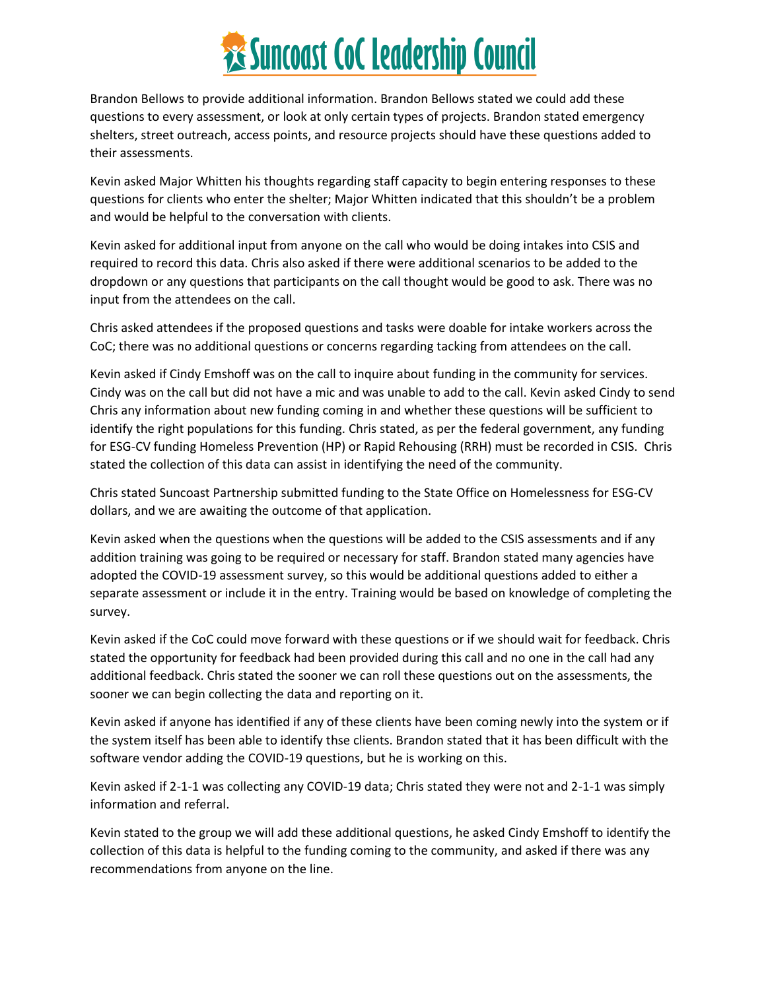# *<b>XE* Suncoast CoC Leadership Council

Brandon Bellows to provide additional information. Brandon Bellows stated we could add these questions to every assessment, or look at only certain types of projects. Brandon stated emergency shelters, street outreach, access points, and resource projects should have these questions added to their assessments.

Kevin asked Major Whitten his thoughts regarding staff capacity to begin entering responses to these questions for clients who enter the shelter; Major Whitten indicated that this shouldn't be a problem and would be helpful to the conversation with clients.

Kevin asked for additional input from anyone on the call who would be doing intakes into CSIS and required to record this data. Chris also asked if there were additional scenarios to be added to the dropdown or any questions that participants on the call thought would be good to ask. There was no input from the attendees on the call.

Chris asked attendees if the proposed questions and tasks were doable for intake workers across the CoC; there was no additional questions or concerns regarding tacking from attendees on the call.

Kevin asked if Cindy Emshoff was on the call to inquire about funding in the community for services. Cindy was on the call but did not have a mic and was unable to add to the call. Kevin asked Cindy to send Chris any information about new funding coming in and whether these questions will be sufficient to identify the right populations for this funding. Chris stated, as per the federal government, any funding for ESG-CV funding Homeless Prevention (HP) or Rapid Rehousing (RRH) must be recorded in CSIS. Chris stated the collection of this data can assist in identifying the need of the community.

Chris stated Suncoast Partnership submitted funding to the State Office on Homelessness for ESG-CV dollars, and we are awaiting the outcome of that application.

Kevin asked when the questions when the questions will be added to the CSIS assessments and if any addition training was going to be required or necessary for staff. Brandon stated many agencies have adopted the COVID-19 assessment survey, so this would be additional questions added to either a separate assessment or include it in the entry. Training would be based on knowledge of completing the survey.

Kevin asked if the CoC could move forward with these questions or if we should wait for feedback. Chris stated the opportunity for feedback had been provided during this call and no one in the call had any additional feedback. Chris stated the sooner we can roll these questions out on the assessments, the sooner we can begin collecting the data and reporting on it.

Kevin asked if anyone has identified if any of these clients have been coming newly into the system or if the system itself has been able to identify thse clients. Brandon stated that it has been difficult with the software vendor adding the COVID-19 questions, but he is working on this.

Kevin asked if 2-1-1 was collecting any COVID-19 data; Chris stated they were not and 2-1-1 was simply information and referral.

Kevin stated to the group we will add these additional questions, he asked Cindy Emshoff to identify the collection of this data is helpful to the funding coming to the community, and asked if there was any recommendations from anyone on the line.